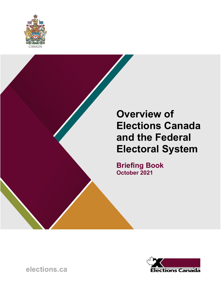

# **Overview of Elections Canada and the Federal Electoral System**

**Briefing Book October 2021**

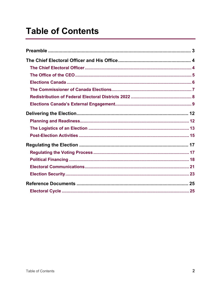# **Table of Contents**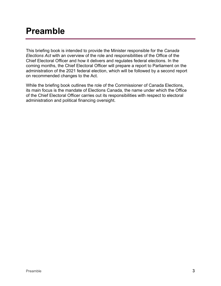# <span id="page-2-0"></span>**Preamble**

This briefing book is intended to provide the Minister responsible for the *Canada Elections Act* with an overview of the role and responsibilities of the Office of the Chief Electoral Officer and how it delivers and regulates federal elections. In the coming months, the Chief Electoral Officer will prepare a report to Parliament on the administration of the 2021 federal election, which will be followed by a second report on recommended changes to the Act.

While the briefing book outlines the role of the Commissioner of Canada Elections, its main focus is the mandate of Elections Canada, the name under which the Office of the Chief Electoral Officer carries out its responsibilities with respect to electoral administration and political financing oversight.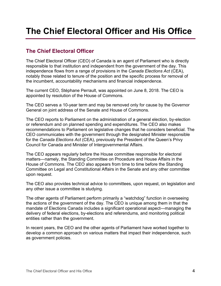# <span id="page-3-0"></span>**The Chief Electoral Officer and His Office**

## <span id="page-3-1"></span>**The Chief Electoral Officer**

The Chief Electoral Officer (CEO) of Canada is an agent of Parliament who is directly responsible to that institution and independent from the government of the day. This independence flows from a range of provisions in the *Canada Elections Act* (CEA), notably those related to tenure of the position and the specific process for removal of the incumbent, accountability mechanisms and financial independence.

The current CEO, Stéphane Perrault, was appointed on June 8, 2018. The CEO is appointed by resolution of the House of Commons.

The CEO serves a 10-year term and may be removed only for cause by the Governor General on joint address of the Senate and House of Commons.

The CEO reports to Parliament on the administration of a general election, by-election or referendum and on planned spending and expenditures. The CEO also makes recommendations to Parliament on legislative changes that he considers beneficial. The CEO communicates with the government through the designated Minister responsible for the *Canada Elections Act* (CEA), previously the President of the Queen's Privy Council for Canada and Minister of Intergovernmental Affairs.

The CEO appears regularly before the House committee responsible for electoral matters—namely, the Standing Committee on Procedure and House Affairs in the House of Commons. The CEO also appears from time to time before the Standing Committee on Legal and Constitutional Affairs in the Senate and any other committee upon request.

The CEO also provides technical advice to committees, upon request, on legislation and any other issue a committee is studying.

The other agents of Parliament perform primarily a "watchdog" function in overseeing the actions of the government of the day. The CEO is unique among them in that the mandate of Elections Canada includes a significant operational aspect—managing the delivery of federal elections, by-elections and referendums, and monitoring political entities rather than the government.

In recent years, the CEO and the other agents of Parliament have worked together to develop a common approach on various matters that impact their independence, such as government policies.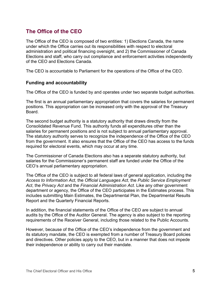## <span id="page-4-0"></span>**The Office of the CEO**

The Office of the CEO is composed of two entities: 1) Elections Canada, the name under which the Office carries out its responsibilities with respect to electoral administration and political financing oversight, and 2) the Commissioner of Canada Elections and staff, who carry out compliance and enforcement activities independently of the CEO and Elections Canada.

The CEO is accountable to Parliament for the operations of the Office of the CEO.

#### **Funding and accountability**

The Office of the CEO is funded by and operates under two separate budget authorities.

The first is an annual parliamentary appropriation that covers the salaries for permanent positions. This appropriation can be increased only with the approval of the Treasury Board.

The second budget authority is a statutory authority that draws directly from the Consolidated Revenue Fund. This authority funds all expenditures other than the salaries for permanent positions and is not subject to annual parliamentary approval. The statutory authority serves to recognize the independence of the Office of the CEO from the government. It also ensures that the Office of the CEO has access to the funds required for electoral events, which may occur at any time.

The Commissioner of Canada Elections also has a separate statutory authority, but salaries for the Commissioner's permanent staff are funded under the Office of the CEO's annual parliamentary appropriation.

The Office of the CEO is subject to all federal laws of general application, including the *Access to Information Act*, the *Official Languages Act*, the *Public Service Employment Act*, the *Privacy Act* and the *Financial Administration Act*. Like any other government department or agency, the Office of the CEO participates in the Estimates process. This includes submitting Main Estimates, the Departmental Plan, the Departmental Results Report and the Quarterly Financial Reports.

In addition, the financial statements of the Office of the CEO are subject to annual audits by the Office of the Auditor General. The agency is also subject to the reporting requirements of the Receiver General, including those related to the Public Accounts.

However, because of the Office of the CEO's independence from the government and its statutory mandate, the CEO is exempted from a number of Treasury Board policies and directives. Other policies apply to the CEO, but in a manner that does not impede their independence or ability to carry out their mandate.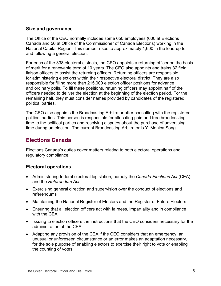#### **Size and governance**

The Office of the CEO normally includes some 650 employees (600 at Elections Canada and 50 at Office of the Commissioner of Canada Elections) working in the National Capital Region. This number rises to approximately 1,600 in the lead-up to and following a general election.

For each of the 338 electoral districts, the CEO appoints a returning officer on the basis of merit for a renewable term of 10 years. The CEO also appoints and trains 32 field liaison officers to assist the returning officers. Returning officers are responsible for administering elections within their respective electoral district. They are also responsible for filling more than 215,000 election officer positions for advance and ordinary polls. To fill these positions, returning officers may appoint half of the officers needed to deliver the election at the beginning of the election period. For the remaining half, they must consider names provided by candidates of the registered political parties.

The CEO also appoints the Broadcasting Arbitrator after consulting with the registered political parties. This person is responsible for allocating paid and free broadcasting time to the political parties and resolving disputes about the purchase of advertising time during an election. The current Broadcasting Arbitrator is Y. Monica Song.

### <span id="page-5-0"></span>**Elections Canada**

Elections Canada's duties cover matters relating to both electoral operations and regulatory compliance.

### **Electoral operations**

- Administering federal electoral legislation, namely the *Canada Elections Act* (CEA) and the *Referendum Act*.
- Exercising general direction and supervision over the conduct of elections and referendums
- Maintaining the National Register of Electors and the Register of Future Electors
- Ensuring that all election officers act with fairness, impartiality and in compliance with the CEA
- Issuing to election officers the instructions that the CEO considers necessary for the administration of the CEA
- Adapting any provision of the CEA if the CEO considers that an emergency, an unusual or unforeseen circumstance or an error makes an adaptation necessary, for the sole purpose of enabling electors to exercise their right to vote or enabling the counting of votes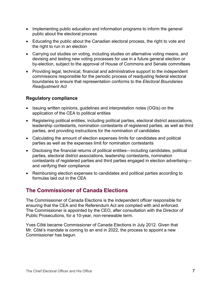- Implementing public education and information programs to inform the general public about the electoral process
- Educating the public about the Canadian electoral process, the right to vote and the right to run in an election
- Carrying out studies on voting, including studies on alternative voting means, and devising and testing new voting processes for use in a future general election or by-election, subject to the approval of House of Commons and Senate committees
- Providing legal, technical, financial and administrative support to the independent commissions responsible for the periodic process of readjusting federal electoral boundaries to ensure that representation conforms to the *Electoral Boundaries Readjustment Act*

### **Regulatory compliance**

- Issuing written opinions, guidelines and interpretation notes (OGIs) on the application of the CEA to political entities
- Registering political entities, including political parties, electoral district associations, leadership contestants, nomination contestants of registered parties, as well as third parties, and providing instructions for the nomination of candidates
- Calculating the amount of election expenses limits for candidates and political parties as well as the expenses limit for nomination contestants
- Disclosing the financial returns of political entities—including candidates, political parties, electoral district associations, leadership contestants, nomination contestants of registered parties and third parties engaged in election advertising and verifying their compliance
- Reimbursing election expenses to candidates and political parties according to formulas laid out in the CEA

## <span id="page-6-0"></span>**The Commissioner of Canada Elections**

The Commissioner of Canada Elections is the independent officer responsible for ensuring that the CEA and the Referendum Act are complied with and enforced. The Commissioner is appointed by the CEO, after consultation with the Director of Public Prosecutions, for a 10-year, non-renewable term.

Yves Côté became Commissioner of Canada Elections in July 2012. Given that Mr. Côté's mandate is coming to an end in 2022, the process to appoint a new Commissioner has begun.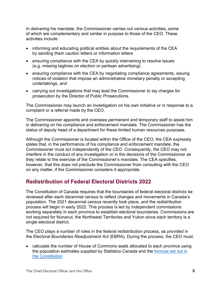In delivering his mandate, the Commissioner carries out various activities, some of which are complementary and similar in purpose to those of the CEO. These activities include:

- informing and educating political entities about the requirements of the CEA by sending them caution letters or information letters
- ensuring compliance with the CEA by quickly intervening to resolve issues (e.g. missing taglines on election or partisan advertising)
- ensuring compliance with the CEA by negotiating compliance agreements, issuing notices of violation that impose an administrative monetary penalty or accepting undertakings, and
- carrying out investigations that may lead the Commissioner to lay charges for prosecution by the Director of Public Prosecutions.

The Commissioner may launch an investigation on his own initiative or in response to a complaint or a referral made by the CEO.

The Commissioner appoints and oversees permanent and temporary staff to assist him in delivering on his compliance and enforcement mandate. The Commissioner has the status of deputy head of a department for these limited human resources purposes.

Although the Commissioner is located within the Office of the CEO, the CEA expressly states that, in the performance of his compliance and enforcement mandate, the Commissioner must act independently of the CEO. Consequently, the CEO may not interfere in the conduct of any investigation or in the decisions of the Commissioner as they relate to the exercise of the Commissioner's mandate. The CEA specifies, however, that this does not preclude the Commissioner from consulting with the CEO on any matter, if the Commissioner considers it appropriate.

## <span id="page-7-0"></span>**Redistribution of Federal Electoral Districts 2022**

The Constitution of Canada requires that the boundaries of federal electoral districts be reviewed after each decennial census to reflect changes and movements in Canada's population. The 2021 decennial census recently took place, and the redistribution process will begin in early 2022. This process is led by independent commissions working separately in each province to establish electoral boundaries. Commissions are not required for Nunavut, the Northwest Territories and Yukon since each territory is a single electoral district.

The CEO plays a number of roles in the federal redistribution process, as provided in the *Electoral Boundaries Readjustment Act* (EBRA). During the process, the CEO must:

• calculate the number of House of Commons seats allocated to each province using the population estimates supplied by Statistics Canada and the [formula set out in](https://www.elections.ca/content.aspx?section=res&dir=cir/red/form&document=index&lang=e)  [the Constitution](https://www.elections.ca/content.aspx?section=res&dir=cir/red/form&document=index&lang=e)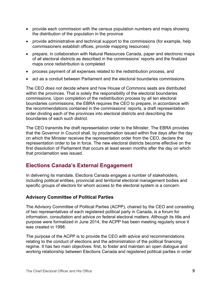- provide each commission with the census population numbers and maps showing the distribution of the population in the province
- provide administrative and technical support to the commissions (for example, help commissioners establish offices, provide mapping resources)
- prepare, in collaboration with Natural Resources Canada, paper and electronic maps of all electoral districts as described in the commissions' reports and the finalized maps once redistribution is completed
- process payment of all expenses related to the redistribution process, and
- act as a conduit between Parliament and the electoral boundaries commissions.

The CEO *does not* decide where and how House of Commons seats are distributed within the provinces. That is solely the responsibility of the electoral boundaries commissions. Upon completion of the redistribution process by all ten electoral boundaries commissions, the EBRA requires the CEO to prepare, in accordance with the recommendations contained in the commissions' reports, a draft representation order dividing each of the provinces into electoral districts and describing the boundaries of each such district.

The CEO transmits the draft representation order to the Minister. The EBRA provides that the Governor in Council shall, by proclamation issued within five days after the day on which the Minister receives the representation order from the CEO, declare the representation order to be in force. The new electoral districts become effective on the first dissolution of Parliament that occurs at least seven months after the day on which that proclamation was issued.

## <span id="page-8-0"></span>**Elections Canada's External Engagement**

In delivering its mandate, Elections Canada engages a number of stakeholders, including political entities, provincial and territorial electoral management bodies and specific groups of electors for whom access to the electoral system is a concern.

### **Advisory Committee of Political Parties**

The Advisory Committee of Political Parties (ACPP), chaired by the CEO and consisting of two representatives of each registered political party in Canada, is a forum for information, consultation and advice on federal electoral matters. Although its title and purpose were formalized in June 2014, the ACPP has been meeting regularly since it was created in 1998.

The purpose of the ACPP is to provide the CEO with advice and recommendations relating to the conduct of elections and the administration of the political financing regime. It has two main objectives: first, to foster and maintain an open dialogue and working relationship between Elections Canada and registered political parties in order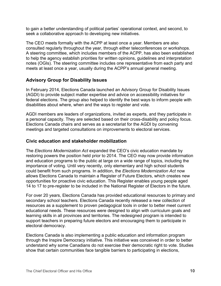to gain a better understanding of political parties' operational context, and second, to seek a collaborative approach to developing new initiatives.

The CEO meets formally with the ACPP at least once a year. Members are also consulted regularly throughout the year, through either teleconferences or workshops. A steering committee, which includes members of the ACPP, has also been established to help the agency establish priorities for written opinions, guidelines and interpretation notes (OGIs). The steering committee includes one representative from each party and meets at least once a year, usually during the ACPP's annual general meeting.

### **Advisory Group for Disability Issues**

In February 2014, Elections Canada launched an Advisory Group for Disability Issues (AGDI) to provide subject matter expertise and advice on accessibility initiatives for federal elections. The group also helped to identify the best ways to inform people with disabilities about where, when and the ways to register and vote.

AGDI members are leaders of organizations, invited as experts, and they participate in a personal capacity. They are selected based on their cross-disability and policy focus. Elections Canada chairs and serves as a secretariat for the AGDI by convening meetings and targeted consultations on improvements to electoral services.

### **Civic education and stakeholder mobilization**

The *Elections Modernization Act* expanded the CEO's civic education mandate by restoring powers the position held prior to 2014. The CEO may now provide information and education programs to the public at large on a wide range of topics, including the importance of voting. Until very recently, only elementary and high school students could benefit from such programs. In addition, the *Elections Modernization Act* now allows Elections Canada to maintain a Register of Future Electors, which creates new opportunities for proactive civic education. This Register enables young people aged 14 to 17 to pre-register to be included in the National Register of Electors in the future.

For over 20 years, Elections Canada has provided educational resources to primary and secondary school teachers. Elections Canada recently released a new collection of resources as a supplement to proven pedagogical tools in order to better meet current educational needs. These resources were designed to align with curriculum goals and learning skills in all provinces and territories. The redesigned program is intended to support teachers in preparing future electors and encouraging them to participate in electoral democracy.

Elections Canada is also implementing a public education and information program through the Inspire Democracy initiative. This initiative was conceived in order to better understand why some Canadians do not exercise their democratic right to vote. Studies show that certain communities face tangible barriers to participating in elections,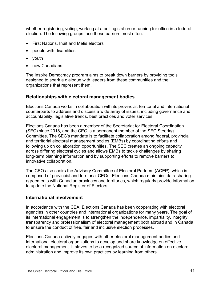whether registering, voting, working at a polling station or running for office in a federal election. The following groups face these barriers most often:

- First Nations, Inuit and Métis electors
- people with disabilities
- youth
- new Canadians.

The Inspire Democracy program aims to break down barriers by providing tools designed to spark a dialogue with leaders from these communities and the organizations that represent them.

#### **Relationships with electoral management bodies**

Elections Canada works in collaboration with its provincial, territorial and international counterparts to address and discuss a wide array of issues, including governance and accountability, legislative trends, best practices and voter services.

Elections Canada has been a member of the Secretariat for Electoral Coordination (SEC) since 2018, and the CEO is a permanent member of the SEC Steering Committee. The SEC's mandate is to facilitate collaboration among federal, provincial and territorial electoral management bodies (EMBs) by coordinating efforts and following up on collaboration opportunities. The SEC creates an ongoing capacity across differing electoral cycles and allows EMBs to tackle challenges by sharing long-term planning information and by supporting efforts to remove barriers to innovative collaboration.

The CEO also chairs the Advisory Committee of Electoral Partners (ACEP), which is composed of provincial and territorial CEOs. Elections Canada maintains data-sharing agreements with Canadian provinces and territories, which regularly provide information to update the National Register of Electors.

#### **International involvement**

In accordance with the CEA, Elections Canada has been cooperating with electoral agencies in other countries and international organizations for many years. The goal of its international engagement is to strengthen the independence, impartiality, integrity, transparency and professionalism of electoral management both abroad and in Canada to ensure the conduct of free, fair and inclusive election processes.

Elections Canada actively engages with other electoral management bodies and international electoral organizations to develop and share knowledge on effective electoral management. It strives to be a recognized source of information on electoral administration and improve its own practices by learning from others.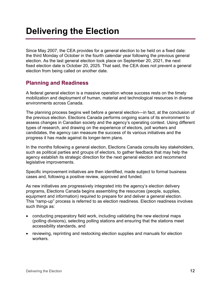# <span id="page-11-0"></span>**Delivering the Election**

Since May 2007, the CEA provides for a general election to be held on a fixed date: the third Monday of October in the fourth calendar year following the previous general election. As the last general election took place on September 20, 2021, the next fixed election date is October 20, 2025. That said, the CEA does not prevent a general election from being called on another date.

## <span id="page-11-1"></span>**Planning and Readiness**

A federal general election is a massive operation whose success rests on the timely mobilization and deployment of human, material and technological resources in diverse environments across Canada.

The planning process begins well before a general election—in fact, at the conclusion of the previous election. Elections Canada performs ongoing scans of its environment to assess changes in Canadian society and the agency's operating context. Using different types of research, and drawing on the experience of electors, poll workers and candidates, the agency can measure the success of its various initiatives and the progress it has made against its longer-term plans.

In the months following a general election, Elections Canada consults key stakeholders, such as political parties and groups of electors, to gather feedback that may help the agency establish its strategic direction for the next general election and recommend legislative improvements.

Specific improvement initiatives are then identified, made subject to formal business cases and, following a positive review, approved and funded.

As new initiatives are progressively integrated into the agency's election delivery programs, Elections Canada begins assembling the resources (people, supplies, equipment and information) required to prepare for and deliver a general election. This "ramp-up" process is referred to as election readiness. Election readiness involves such things as:

- conducting preparatory field work, including validating the new electoral maps (polling divisions), selecting polling stations and ensuring that the stations meet accessibility standards, and
- reviewing, reprinting and restocking election supplies and manuals for election workers.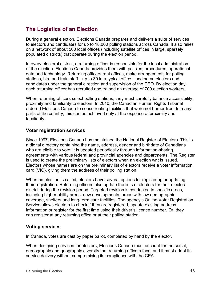## <span id="page-12-0"></span>**The Logistics of an Election**

During a general election, Elections Canada prepares and delivers a suite of services to electors and candidates for up to 18,000 polling stations across Canada. It also relies on a network of about 500 local offices (including satellite offices in large, sparsely populated districts) that operate during the election period.

In every electoral district, a returning officer is responsible for the local administration of the election. Elections Canada provides them with policies, procedures, operational data and technology. Returning officers rent offices, make arrangements for polling stations, hire and train staff—up to 30 in a typical office—and serve electors and candidates under the general direction and supervision of the CEO. By election day, each returning officer has recruited and trained an average of 700 election workers.

When returning officers select polling stations, they must carefully balance accessibility, proximity and familiarity to electors. In 2010, the Canadian Human Rights Tribunal ordered Elections Canada to cease renting facilities that were not barrier-free. In many parts of the country, this can be achieved only at the expense of proximity and familiarity.

#### **Voter registration services**

Since 1997, Elections Canada has maintained the National Register of Electors. This is a digital directory containing the name, address, gender and birthdate of Canadians who are eligible to vote; it is updated periodically through information-sharing agreements with various federal and provincial agencies and departments. The Register is used to create the preliminary lists of electors when an election writ is issued. Electors whose names are on the preliminary list of electors receive a voter information card (VIC), giving them the address of their polling station.

When an election is called, electors have several options for registering or updating their registration. Returning officers also update the lists of electors for their electoral district during the revision period. Targeted revision is conducted in specific areas, including high-mobility areas, new developments, areas with low demographic coverage, shelters and long-term care facilities. The agency's Online Voter Registration Service allows electors to check if they are registered, update existing address information or register for the first time using their driver's licence number. Or, they can register at any returning office or at their polling station.

#### **Voting services**

In Canada, votes are cast by paper ballot, completed by hand by the elector.

When designing services for electors, Elections Canada must account for the social, demographic and geographic diversity that returning officers face, and it must adapt its service delivery without compromising its compliance with the CEA.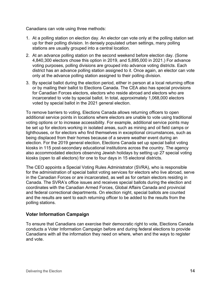Canadians can vote using three methods:

- 1. At a polling station on election day. An elector can vote only at the polling station set up for their polling division. In densely populated urban settings, many polling stations are usually grouped into a central location.
- 2. At an advance polling station on the second weekend before election day. (Some 4,840,300 electors chose this option in 2019, and 5,895,000 in 2021.) For advance voting purposes, polling divisions are grouped into advance voting districts. Each district has an advance polling station assigned to it. Once again, an elector can vote only at the advance polling station assigned to their polling division.
- 3. By special ballot during the election period, either in person at a local returning office or by mailing their ballot to Elections Canada. The CEA also has special provisions for Canadian Forces electors, electors who reside abroad and electors who are incarcerated to vote by special ballot. In total, approximately 1,068,000 electors voted by special ballot in the 2021 general election.

To remove barriers to voting, Elections Canada allows returning officers to open additional service points in locations where electors are unable to vote using traditional voting options or to increase accessibility. For example, additional service points may be set up for electors working in isolated areas, such as mining and oil field camps or lighthouses, or for electors who find themselves in exceptional circumstances, such as being displaced from their homes because of a severe weather event during an election. For the 2019 general election, Elections Canada set up special ballot voting kiosks in 115 post-secondary educational institutions across the country. The agency also accommodated electors observing Jewish holidays by setting up 27 special voting kiosks (open to all electors) for one to four days in 15 electoral districts.

The CEO appoints a Special Voting Rules Administrator (SVRA), who is responsible for the administration of special ballot voting services for electors who live abroad, serve in the Canadian Forces or are incarcerated, as well as for certain electors residing in Canada. The SVRA's office issues and receives special ballots during the election and coordinates with the Canadian Armed Forces, Global Affairs Canada and provincial and federal correctional departments. On election night, special ballots are counted and the results are sent to each returning officer to be added to the results from the polling stations.

#### **Voter Information Campaign**

To ensure that Canadians can exercise their democratic right to vote, Elections Canada conducts a Voter Information Campaign before and during federal elections to provide Canadians with all the information they need on where, when and the ways to register and vote.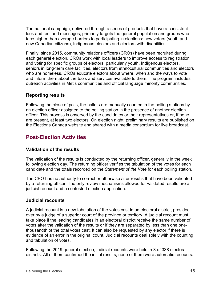The national campaign, delivered through a series of products that have a consistent look and feel and messages, primarily targets the general population and groups who face higher than average barriers to participating in elections: new voters (youth and new Canadian citizens), Indigenous electors and electors with disabilities.

Finally, since 2015, community relations officers (CROs) have been recruited during each general election. CROs work with local leaders to improve access to registration and voting for specific groups of electors, particularly youth, Indigenous electors, seniors in long-term care facilities, electors from ethnocultural communities and electors who are homeless. CROs educate electors about where, when and the ways to vote and inform them about the tools and services available to them. The program includes outreach activities in Métis communities and official language minority communities.

### **Reporting results**

Following the close of polls, the ballots are manually counted in the polling stations by an election officer assigned to the polling station in the presence of another election officer. This process is observed by the candidates or their representatives or, if none are present, at least two electors. On election night, preliminary results are published on the Elections Canada website and shared with a media consortium for live broadcast.

## <span id="page-14-0"></span>**Post-Election Activities**

### **Validation of the results**

The validation of the results is conducted by the returning officer, generally in the week following election day. The returning officer verifies the tabulation of the votes for each candidate and the totals recorded on the *Statement of the Vote* for each polling station.

The CEO has no authority to correct or otherwise alter results that have been validated by a returning officer. The only review mechanisms allowed for validated results are a judicial recount and a contested election application.

### **Judicial recounts**

A judicial recount is a new tabulation of the votes cast in an electoral district, presided over by a judge of a superior court of the province or territory. A judicial recount must take place if the leading candidates in an electoral district receive the same number of votes after the validation of the results or if they are separated by less than one onethousandth of the total votes cast. It can also be requested by any elector if there is evidence of an error in the original count. Judicial recounts deal solely with the counting and tabulation of votes.

Following the 2019 general election, judicial recounts were held in 3 of 338 electoral districts. All of them confirmed the initial results; none of them were automatic recounts.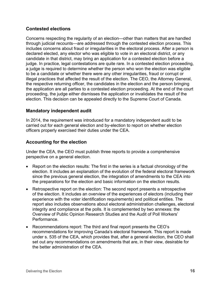### **Contested elections**

Concerns respecting the regularity of an election—other than matters that are handled through judicial recounts—are addressed through the contested election process. This includes concerns about fraud or irregularities in the electoral process. After a person is declared elected, any elector who was eligible to vote in an electoral district, or any candidate in that district, may bring an application for a contested election before a judge. In practice, legal contestations are quite rare. In a contested election proceeding, a judge is required to determine whether the person who won the election was eligible to be a candidate or whether there were any other irregularities, fraud or corrupt or illegal practices that affected the result of the election. The CEO, the Attorney General, the respective returning officer, the candidates in the election and the person bringing the application are all parties to a contested election proceeding. At the end of the court proceeding, the judge either dismisses the application or invalidates the result of the election. This decision can be appealed directly to the Supreme Court of Canada.

#### **Mandatory independent audit**

In 2014, the requirement was introduced for a mandatory independent audit to be carried out for each general election and by-election to report on whether election officers properly exercised their duties under the CEA.

### **Accounting for the election**

Under the CEA, the CEO must publish three reports to provide a comprehensive perspective on a general election.

- Report on the election results: The first in the series is a factual chronology of the election. It includes an explanation of the evolution of the federal electoral framework since the previous general election, the integration of amendments to the CEA into the preparations for the election and basic information on the election results.
- Retrospective report on the election: The second report presents a retrospective of the election. It includes an overview of the experiences of electors (including their experience with the voter identification requirements) and political entities. The report also includes observations about electoral administration challenges, electoral integrity and compliance at the polls. It is complemented by two annexes: the Overview of Public Opinion Research Studies and the Audit of Poll Workers' **Performance**
- Recommendations report: The third and final report presents the CEO's recommendations for improving Canada's electoral framework. This report is made under s. 535 of the CEA, which provides that, after a general election, the CEO shall set out any recommendations on amendments that are, in their view, desirable for the better administration of the CEA.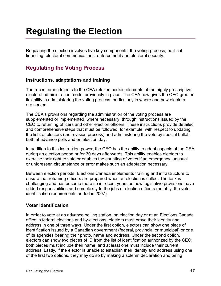# <span id="page-16-0"></span>**Regulating the Election**

Regulating the election involves five key components: the voting process, political financing, electoral communications, enforcement and electoral security.

## <span id="page-16-1"></span>**Regulating the Voting Process**

#### **Instructions, adaptations and training**

The recent amendments to the CEA relaxed certain elements of the highly prescriptive electoral administration model previously in place. The CEA now gives the CEO greater flexibility in administering the voting process, particularly in where and how electors are served.

The CEA's provisions regarding the administration of the voting process are supplemented or implemented, where necessary, through instructions issued by the CEO to returning officers and other election officers. These instructions provide detailed and comprehensive steps that must be followed, for example, with respect to updating the lists of electors (the revision process) and administering the vote by special ballot, both at advance polls and on election day.

In addition to this instruction power, the CEO has the ability to adapt aspects of the CEA during an election period or for 30 days afterwards. This ability enables electors to exercise their right to vote or enables the counting of votes if an emergency, unusual or unforeseen circumstance or error makes such an adaptation necessary.

Between election periods, Elections Canada implements training and infrastructure to ensure that returning officers are prepared when an election is called. The task is challenging and has become more so in recent years as new legislative provisions have added responsibilities and complexity to the jobs of election officers (notably, the voter identification requirements added in 2007).

### **Voter identification**

In order to vote at an advance polling station, on election day or at an Elections Canada office in federal elections and by-elections, electors must prove their identity and address in one of three ways. Under the first option, electors can show one piece of identification issued by a Canadian government (federal, provincial or municipal) or one of its agencies bearing their photo, name and address. Under the second option, electors can show two pieces of ID from the list of identification authorized by the CEO; both pieces must include their name, and at least one must include their current address. Lastly, if the elector is unable to establish their identity and address using one of the first two options, they may do so by making a solemn declaration and being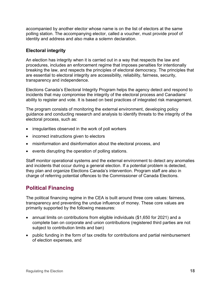accompanied by another elector whose name is on the list of electors at the same polling station. The accompanying elector, called a voucher, must provide proof of identity and address and also make a solemn declaration.

### **Electoral integrity**

An election has integrity when it is carried out in a way that respects the law and procedures, includes an enforcement regime that imposes penalties for intentionally breaking the law, and respects the principles of electoral democracy. The principles that are essential to electoral integrity are accessibility, reliability, fairness, security, transparency and independence.

Elections Canada's Electoral Integrity Program helps the agency detect and respond to incidents that may compromise the integrity of the electoral process and Canadians' ability to register and vote. It is based on best practices of integrated risk management.

The program consists of monitoring the external environment, developing policy guidance and conducting research and analysis to identify threats to the integrity of the electoral process, such as:

- irregularities observed in the work of poll workers
- incorrect instructions given to electors
- misinformation and disinformation about the electoral process, and
- events disrupting the operation of polling stations.

Staff monitor operational systems and the external environment to detect any anomalies and incidents that occur during a general election. If a potential problem is detected, they plan and organize Elections Canada's intervention. Program staff are also in charge of referring potential offences to the Commissioner of Canada Elections.

## <span id="page-17-0"></span>**Political Financing**

The political financing regime in the CEA is built around three core values: fairness, transparency and preventing the undue influence of money. These core values are primarily supported by the following measures:

- annual limits on contributions from eligible individuals (\$1,650 for 2021) and a complete ban on corporate and union contributions (registered third parties are not subject to contribution limits and ban)
- public funding in the form of tax credits for contributions and partial reimbursement of election expenses, and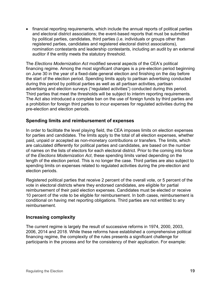• financial reporting requirements, which include the annual reports of political parties and electoral district associations; the event-based reports that must be submitted by political parties, candidates, third parties (i.e. individuals or groups other than registered parties, candidates and registered electoral district associations), nomination contestants and leadership contestants, including an audit by an external auditor if the entity meets the statutory threshold.

The *Elections Modernization Act* modified several aspects of the CEA's political financing regime. Among the most significant changes is a pre-election period beginning on June 30 in the year of a fixed-date general election and finishing on the day before the start of the election period. Spending limits apply to partisan advertising conducted during this period by political parties as well as all partisan activities, partisan advertising and election surveys ("regulated activities") conducted during this period. Third parties that meet the thresholds will be subject to interim reporting requirements. The Act also introduced a complete ban on the use of foreign funds by third parties and a prohibition for foreign third parties to incur expenses for regulated activities during the pre-election and election periods.

#### **Spending limits and reimbursement of expenses**

In order to facilitate the level playing field, the CEA imposes limits on election expenses for parties and candidates. The limits apply to the total of all election expenses, whether paid, unpaid or accepted as non-monetary contributions or transfers. The limits, which are calculated differently for political parties and candidates, are based on the number of names on the lists of electors for each electoral district. Prior to the coming into force of the *Elections Modernization Act*, these spending limits varied depending on the length of the election period. This is no longer the case. Third parties are also subject to spending limits on expenses related to regulated activities during the pre-election and election periods.

Registered political parties that receive 2 percent of the overall vote, or 5 percent of the vote in electoral districts where they endorsed candidates, are eligible for partial reimbursement of their paid election expenses. Candidates must be elected or receive 10 percent of the vote to be eligible for reimbursement. In both cases, reimbursement is conditional on having met reporting obligations. Third parties are not entitled to any reimbursement.

#### **Increasing complexity**

The current regime is largely the result of successive reforms in 1974, 2000, 2003, 2006, 2014 and 2018. While these reforms have established a comprehensive political financing regime, the complexity of the rules presents a significant challenge for participants in the process and for the consistency of their application. For example: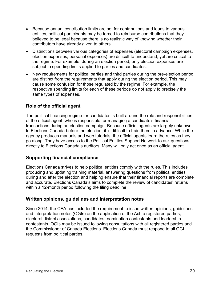- Because annual contribution limits are set for contributions and loans to various entities, political participants may be forced to reimburse contributions that they believed to be legal because there is no realistic way of knowing whether their contributors have already given to others.
- Distinctions between various categories of expenses (electoral campaign expenses, election expenses, personal expenses) are difficult to understand, yet are critical to the regime. For example, during an election period, only election expenses are subject to spending limits applied to parties and candidates.
- New requirements for political parties and third parties during the pre-election period are distinct from the requirements that apply during the election period. This may cause some confusion for those regulated by the regime. For example, the respective spending limits for each of these periods do not apply to precisely the same types of expenses.

### **Role of the official agent**

The political financing regime for candidates is built around the role and responsibilities of the official agent, who is responsible for managing a candidate's financial transactions during an election campaign. Because official agents are largely unknown to Elections Canada before the election, it is difficult to train them in advance. While the agency produces manuals and web tutorials, the official agents learn the rules as they go along. They have access to the Political Entities Support Network to ask questions directly to Elections Canada's auditors. Many will only act once as an official agent.

### **Supporting financial compliance**

Elections Canada strives to help political entities comply with the rules. This includes producing and updating training material, answering questions from political entities during and after the election and helping ensure that their financial reports are complete and accurate. Elections Canada's aims to complete the review of candidates' returns within a 12-month period following the filing deadline.

### **Written opinions, guidelines and interpretation notes**

Since 2014, the CEA has included the requirement to issue written opinions, guidelines and interpretation notes (OGIs) on the application of the Act to registered parties, electoral district associations, candidates, nomination contestants and leadership contestants. OGIs may be issued following consultations with all registered parties and the Commissioner of Canada Elections. Elections Canada must respond to all OGI requests from political parties.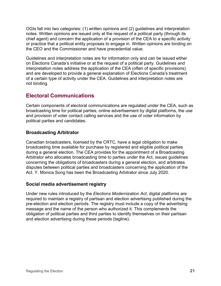OGIs fall into two categories: (1) written opinions and (2) guidelines and interpretation notes. Written opinions are issued only at the request of a political party (through its chief agent) and concern the application of a provision of the CEA to a specific activity or practice that a political entity proposes to engage in. Written opinions are binding on the CEO and the Commissioner and have precedential value.

Guidelines and interpretation notes are for information only and can be issued either on Elections Canada's initiative or at the request of a political party. Guidelines and interpretation notes address the application of the CEA (often of specific provisions) and are developed to provide a general explanation of Elections Canada's treatment of a certain type of activity under the CEA. Guidelines and interpretation notes are not binding.

## <span id="page-20-0"></span>**Electoral Communications**

Certain components of electoral communications are regulated under the CEA, such as broadcasting time for political parties, online advertisement by digital platforms, the use and provision of voter contact calling services and the use of voter information by political parties and candidates.

### **Broadcasting Arbitrator**

Canadian broadcasters, licensed by the CRTC, have a legal obligation to make broadcasting time available for purchase by registered and eligible political parties during a general election. The CEA provides for the appointment of a Broadcasting Arbitrator who allocates broadcasting time to parties under the Act, issues guidelines concerning the obligations of broadcasters during a general election, and arbitrates disputes between political parties and broadcasters concerning the application of the Act. Y. Monica Song has been the Broadcasting Arbitrator since July 2020.

### **Social media advertisement registry**

Under new rules introduced by the *Elections Modernization Act*, digital platforms are required to maintain a registry of partisan and election advertising published during the pre-election and election periods. The registry must include a copy of the advertising message and the name of the person who authorized it. This complements the obligation of political parties and third parties to identify themselves on their partisan and election advertising during these periods (tagline).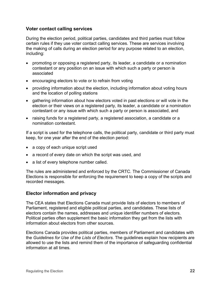#### **Voter contact calling services**

During the election period, political parties, candidates and third parties must follow certain rules if they use voter contact calling services. These are services involving the making of calls during an election period for any purpose related to an election, including:

- promoting or opposing a registered party, its leader, a candidate or a nomination contestant or any position on an issue with which such a party or person is associated
- encouraging electors to vote or to refrain from voting
- providing information about the election, including information about voting hours and the location of polling stations
- gathering information about how electors voted in past elections or will vote in the election or their views on a registered party, its leader, a candidate or a nomination contestant or any issue with which such a party or person is associated, and
- raising funds for a registered party, a registered association, a candidate or a nomination contestant.

If a script is used for the telephone calls, the political party, candidate or third party must keep, for one year after the end of the election period:

- a copy of each unique script used
- a record of every date on which the script was used, and
- a list of every telephone number called.

The rules are administered and enforced by the CRTC. The Commissioner of Canada Elections is responsible for enforcing the requirement to keep a copy of the scripts and recorded messages.

### **Elector information and privacy**

The CEA states that Elections Canada must provide lists of electors to members of Parliament, registered and eligible political parties, and candidates. These lists of electors contain the names, addresses and unique identifier numbers of electors. Political parties often supplement the basic information they get from the lists with information about electors from other sources.

Elections Canada provides political parties, members of Parliament and candidates with the *Guidelines for Use of the Lists of Electors*. The guidelines explain how recipients are allowed to use the lists and remind them of the importance of safeguarding confidential information at all times.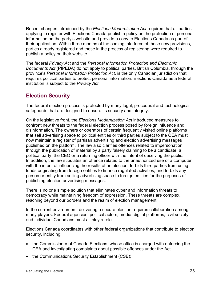Recent changes introduced by the *Elections Modernization Act* required that all parties applying to register with Elections Canada publish a policy on the protection of personal information on the party's website and provide a copy to Elections Canada as part of their application. Within three months of the coming into force of these new provisions, parties already registered and those in the process of registering were required to publish a policy on their website.

The federal *Privacy Act* and the *Personal Information Protection and Electronic Documents Act* (PIPEDA) do not apply to political parties. British Columbia, through the province's *Personal Information Protection Act*, is the only Canadian jurisdiction that requires political parties to protect personal information. Elections Canada as a federal institution is subject to the *Privacy Act*.

## <span id="page-22-0"></span>**Election Security**

The federal election process is protected by many legal, procedural and technological safeguards that are designed to ensure its security and integrity.

On the legislative front, the *Elections Modernization Act* introduced measures to confront new threats to the federal election process posed by foreign influence and disinformation. The owners or operators of certain frequently visited online platforms that sell advertising space to political entities or third parties subject to the CEA must now maintain a register of partisan advertising and election advertising messages published on the platform. The law also clarifies offences related to impersonation through the publication of material by a party falsely claiming to be a candidate, a political party, the CEO or a returning officer with the intent of deceiving the public. In addition, the law stipulates an offence related to the unauthorized use of a computer with the intent of influencing the results of an election, forbids third parties from using funds originating from foreign entities to finance regulated activities, and forbids any person or entity from selling advertising space to foreign entities for the purposes of publishing election advertising messages.

There is no one simple solution that eliminates cyber and information threats to democracy while maintaining freedom of expression. These threats are complex, reaching beyond our borders and the realm of election management.

In the current environment, delivering a secure election requires collaboration among many players. Federal agencies, political actors, media, digital platforms, civil society and individual Canadians must all play a role.

Elections Canada coordinates with other federal organizations that contribute to election security, including:

- the Commissioner of Canada Elections, whose office is charged with enforcing the CEA and investigating complaints about possible offences under the Act
- the Communications Security Establishment (CSE);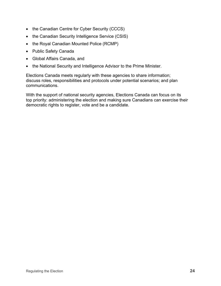- the Canadian Centre for Cyber Security (CCCS)
- the Canadian Security Intelligence Service (CSIS)
- the Royal Canadian Mounted Police (RCMP)
- Public Safety Canada
- Global Affairs Canada, and
- the National Security and Intelligence Advisor to the Prime Minister.

Elections Canada meets regularly with these agencies to share information; discuss roles, responsibilities and protocols under potential scenarios; and plan communications.

With the support of national security agencies, Elections Canada can focus on its top priority: administering the election and making sure Canadians can exercise their democratic rights to register, vote and be a candidate.